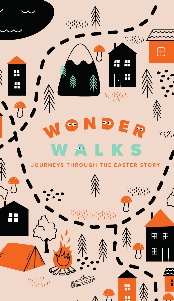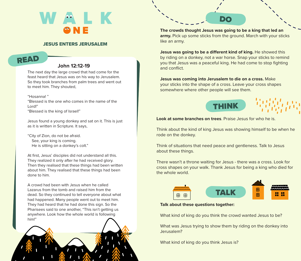$\sim$  1 K **@NE** 

## JESUS ENTERS JERUSALEM

## READ

## **John 12:12-19**

The next day the large crowd that had come for the feast heard that Jesus was on his way to Jerusalem. So they took branches from palm trees and went out to meet him. They shouted,

"Hosanna! " "Blessed is the one who comes in the name of the Lord!"

"Blessed is the king of Israel!"

Jesus found a young donkey and sat on it. This is just as it is written in Scripture. It says,

"City of Zion, do not be afraid. See, your king is coming. He is sitting on a donkey's colt."

At first, Jesus' disciples did not understand all this. They realized it only after he had received glory. Then they realised that these things had been written about him. They realised that these things had been done to him.

A crowd had been with Jesus when he called Lazarus from the tomb and raised him from the dead. So they continued to tell everyone about what had happened. Many people went out to meet him. They had heard that he had done this sign. So the Pharisees said to one another, "This isn't getting us anywhere. Look how the whole world is following him!"

**The crowds thought Jesus was going to be a king that led an army.** Pick up some sticks from the ground. March with your sticks like an army.

DO

**Jesus was going to be a different kind of king. He showed this** by riding on a donkey, not a war horse. Snap your sticks to remind you that Jesus was a peaceful king. He had come to stop fighting and conflict.

**Jesus was coming into Jerusalem to die on a cross.** Make your sticks into the shape of a cross. Leave your cross shapes somewhere where other people will see them.



**Look at some branches on trees**. Praise Jesus for who he is.

Think about the kind of king Jesus was showing himself to be when he rode on the donkey.

Think of situations that need peace and gentleness. Talk to Jesus about these things.

There wasn't a throne waiting for Jesus - there was a cross. Look for cross shapes on your walk. Thank Jesus for being a king who died for the whole world.



#### **Talk about these questions together:**

What kind of king do you think the crowd wanted Jesus to be?

What was Jesus trying to show them by riding on the donkey into Jerusalem?

What kind of king do you think Jesus is?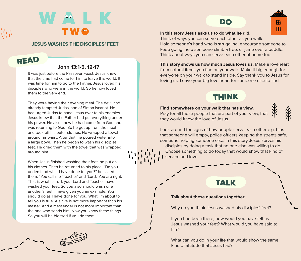# **AND IN** TWO

# **DO**



## JESUS WASHES THE DISCIPLES' FEET

# READ

## **John 13:1-5, 12-17**

It was just before the Passover Feast. Jesus knew that the time had come for him to leave this world. It was time for him to go to the Father. Jesus loved his disciples who were in the world. So he now loved them to the very end.

They were having their evening meal. The devil had already tempted Judas, son of Simon Iscariot. He had urged Judas to hand Jesus over to his enemies. Jesus knew that the Father had put everything under his power. He also knew he had come from God and was returning to God. So he got up from the meal and took off his outer clothes. He wrapped a towel around his waist. After that, he poured water into a large bowl. Then he began to wash his disciples' feet. He dried them with the towel that was wrapped around him.

When Jesus finished washing their feet, he put on his clothes. Then he returned to his place. "Do you understand what I have done for you?" he asked them. "You call me 'Teacher' and 'Lord.' You are right. That is what I am. I, your Lord and Teacher, have washed your feet. So you also should wash one another's feet. I have given you an example. You should do as I have done for you. What I'm about to tell you is true. A slave is not more important than his master. And a messenger is not more important than the one who sends him. Now you know these things. So you will be blessed if you do them.

### **In this story Jesus asks us to do what he did.**

Think of ways you can serve each other as you walk.

Hold someone's hand who is struggling, encourage someone to keep going, help someone climb a tree, or jump over a puddle. Think about ways you can serve each other at home too.

**This story shows us how much Jesus loves us.** Make a loveheart from natural items you find on your walk. Make it big enough for everyone on your walk to stand inside. Say thank you to Jesus for loving us. Leave your big love heart for someone else to find.

## THINK

**Find somewhere on your walk that has a view.** Pray for all those people that are part of your view, that they would know the love of Jesus.

Look around for signs of how people serve each other e.g. bins that someone will empty, police officers keeping the streets safe, someone helping someone else. In this story Jesus serves his

disciples by doing a task that no one else was willing to do. Choose something to do today that would show that kind of service and love.

## TALK

#### **Talk about these questions together:**

Why do you think Jesus washed his disciples' feet?

If you had been there, how would you have felt as Jesus washed your feet? What would you have said to him?

What can you do in your life that would show the same kind of attitude that Jesus had?